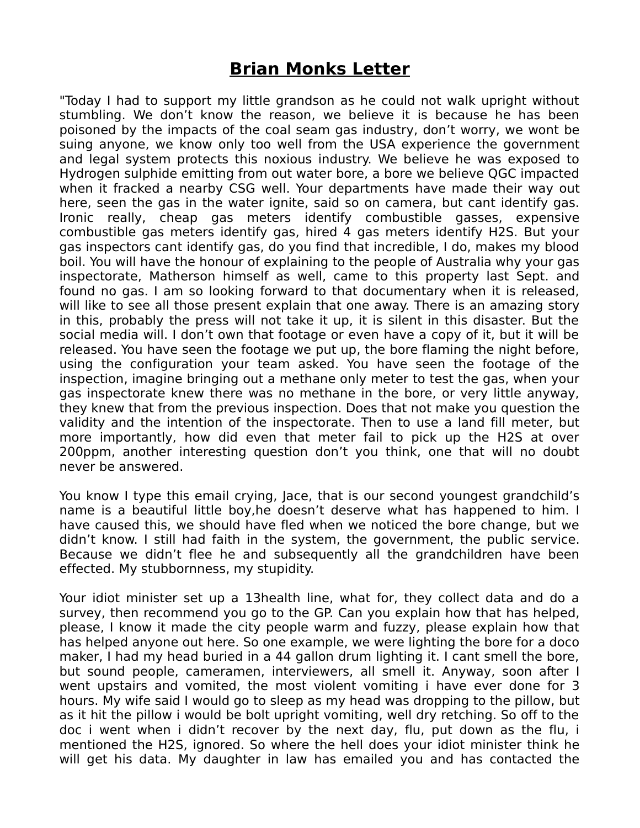## **Brian Monks Letter**

"Today I had to support my little grandson as he could not walk upright without stumbling. We don't know the reason, we believe it is because he has been poisoned by the impacts of the coal seam gas industry, don't worry, we wont be suing anyone, we know only too well from the USA experience the government and legal system protects this noxious industry. We believe he was exposed to Hydrogen sulphide emitting from out water bore, a bore we believe QGC impacted when it fracked a nearby CSG well. Your departments have made their way out here, seen the gas in the water ignite, said so on camera, but cant identify gas. Ironic really, cheap gas meters identify combustible gasses, expensive combustible gas meters identify gas, hired 4 gas meters identify H2S. But your gas inspectors cant identify gas, do you find that incredible, I do, makes my blood boil. You will have the honour of explaining to the people of Australia why your gas inspectorate, Matherson himself as well, came to this property last Sept. and found no gas. I am so looking forward to that documentary when it is released, will like to see all those present explain that one away. There is an amazing story in this, probably the press will not take it up, it is silent in this disaster. But the social media will. I don't own that footage or even have a copy of it, but it will be released. You have seen the footage we put up, the bore flaming the night before, using the configuration your team asked. You have seen the footage of the inspection, imagine bringing out a methane only meter to test the gas, when your gas inspectorate knew there was no methane in the bore, or very little anyway, they knew that from the previous inspection. Does that not make you question the validity and the intention of the inspectorate. Then to use a land fill meter, but more importantly, how did even that meter fail to pick up the H2S at over 200ppm, another interesting question don't you think, one that will no doubt never be answered.

You know I type this email crying, Jace, that is our second youngest grandchild's name is a beautiful little boy,he doesn't deserve what has happened to him. I have caused this, we should have fled when we noticed the bore change, but we didn't know. I still had faith in the system, the government, the public service. Because we didn't flee he and subsequently all the grandchildren have been effected. My stubbornness, my stupidity.

Your idiot minister set up a 13health line, what for, they collect data and do a survey, then recommend you go to the GP. Can you explain how that has helped, please, I know it made the city people warm and fuzzy, please explain how that has helped anyone out here. So one example, we were lighting the bore for a doco maker, I had my head buried in a 44 gallon drum lighting it. I cant smell the bore, but sound people, cameramen, interviewers, all smell it. Anyway, soon after I went upstairs and vomited, the most violent vomiting i have ever done for 3 hours. My wife said I would go to sleep as my head was dropping to the pillow, but as it hit the pillow i would be bolt upright vomiting, well dry retching. So off to the doc i went when i didn't recover by the next day, flu, put down as the flu, i mentioned the H2S, ignored. So where the hell does your idiot minister think he will get his data. My daughter in law has emailed you and has contacted the